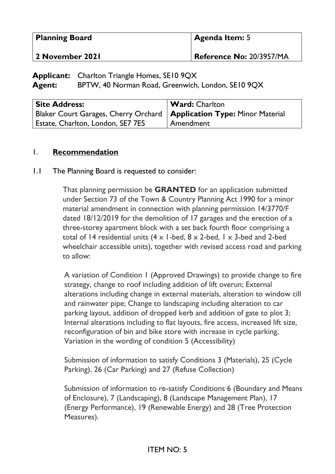| <b>Planning Board</b> | <b>Agenda Item:</b> 5    |
|-----------------------|--------------------------|
| 2 November 2021       | Reference No: 20/3957/MA |

**Applicant:** Charlton Triangle Homes, SE10 9QX Agent: BPTW, 40 Norman Road, Greenwich, London, SE10 9QX

| <b>Site Address:</b>                                                    | <b>Ward:</b> Charlton |
|-------------------------------------------------------------------------|-----------------------|
| Blaker Court Garages, Cherry Orchard   Application Type: Minor Material |                       |
| Estate, Charlton, London, SE7 7ES                                       | Amendment             |

#### 1. **Recommendation**

#### 1.1 The Planning Board is requested to consider:

That planning permission be **GRANTED** for an application submitted under Section 73 of the Town & Country Planning Act 1990 for a minor material amendment in connection with planning permission 14/3770/F dated 18/12/2019 for the demolition of 17 garages and the erection of a three-storey apartment block with a set back fourth floor comprising a total of 14 residential units (4 x 1-bed, 8 x 2-bed, 1 x 3-bed and 2-bed wheelchair accessible units), together with revised access road and parking to allow:

A variation of Condition 1 (Approved Drawings) to provide change to fire strategy, change to roof including addition of lift overun; External alterations including change in external materials, alteration to window cill and rainwater pipe; Change to landscaping including alteration to car parking layout, addition of dropped kerb and addition of gate to plot 3; Internal alterations including to flat layouts, fire access, increased lift size, reconfiguration of bin and bike store with increase in cycle parking, Variation in the wording of condition 5 (Accessibility)

Submission of information to satisfy Conditions 3 (Materials), 25 (Cycle Parking), 26 (Car Parking) and 27 (Refuse Collection)

Submission of information to re-satisfy Conditions 6 (Boundary and Means of Enclosure), 7 (Landscaping), 8 (Landscape Management Plan), 17 (Energy Performance), 19 (Renewable Energy) and 28 (Tree Protection Measures).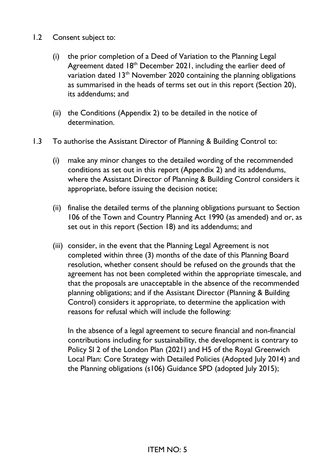- 1.2 Consent subject to:
	- (i) the prior completion of a Deed of Variation to the Planning Legal Agreement dated  $18<sup>th</sup>$  December 2021, including the earlier deed of variation dated 13<sup>th</sup> November 2020 containing the planning obligations as summarised in the heads of terms set out in this report (Section 20), its addendums; and
	- (ii) the Conditions (Appendix 2) to be detailed in the notice of determination.
- 1.3 To authorise the Assistant Director of Planning & Building Control to:
	- (i) make any minor changes to the detailed wording of the recommended conditions as set out in this report (Appendix 2) and its addendums, where the Assistant Director of Planning & Building Control considers it appropriate, before issuing the decision notice;
	- (ii) finalise the detailed terms of the planning obligations pursuant to Section 106 of the Town and Country Planning Act 1990 (as amended) and or, as set out in this report (Section 18) and its addendums; and
	- (iii) consider, in the event that the Planning Legal Agreement is not completed within three (3) months of the date of this Planning Board resolution, whether consent should be refused on the grounds that the agreement has not been completed within the appropriate timescale, and that the proposals are unacceptable in the absence of the recommended planning obligations; and if the Assistant Director (Planning & Building Control) considers it appropriate, to determine the application with reasons for refusal which will include the following:

In the absence of a legal agreement to secure financial and non-financial contributions including for sustainability, the development is contrary to Policy SI 2 of the London Plan (2021) and H5 of the Royal Greenwich Local Plan: Core Strategy with Detailed Policies (Adopted July 2014) and the Planning obligations (s106) Guidance SPD (adopted July 2015);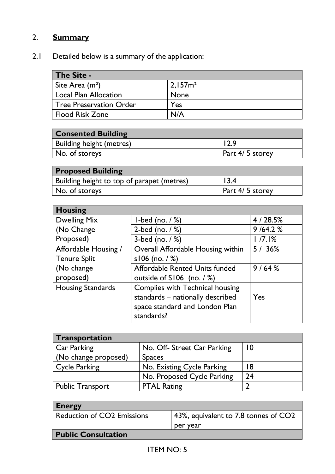# 2. **Summary**

2.1 Detailed below is a summary of the application:

| <b>The Site -</b>              |                    |
|--------------------------------|--------------------|
| Site Area $(m2)$               | 2.157 <sup>2</sup> |
| <b>Local Plan Allocation</b>   | <b>None</b>        |
| <b>Tree Preservation Order</b> | Yes                |
| <b>Flood Risk Zone</b>         | N/A                |

| <b>Consented Building</b>       |                 |
|---------------------------------|-----------------|
| <b>Building height (metres)</b> | 12.9            |
| No. of storeys                  | Part 4/5 storey |

| <b>Proposed Building</b>                   |                 |
|--------------------------------------------|-----------------|
| Building height to top of parapet (metres) | 13.4            |
| No. of storeys                             | Part 4/5 storey |

| <b>Housing</b>           |                                   |         |
|--------------------------|-----------------------------------|---------|
| <b>Dwelling Mix</b>      | 1-bed (no. $/$ %)                 | 4/28.5% |
| (No Change               | 2-bed (no. $/$ %)                 | 9/64.2% |
| Proposed)                | 3-bed (no. $/$ %)                 | 1/7.1%  |
| Affordable Housing /     | Overall Affordable Housing within | 5/36%   |
| <b>Tenure Split</b>      | s106 (no. $/$ %)                  |         |
| (No change               | Affordable Rented Units funded    | 9/64%   |
| proposed)                | outside of $S106$ (no. / %)       |         |
| <b>Housing Standards</b> | Complies with Technical housing   |         |
|                          | standards - nationally described  | Yes     |
|                          | space standard and London Plan    |         |
|                          | standards?                        |         |

| Transportation          |                             |    |
|-------------------------|-----------------------------|----|
| <b>Car Parking</b>      | No. Off- Street Car Parking | 10 |
| (No change proposed)    | <b>Spaces</b>               |    |
| <b>Cycle Parking</b>    | No. Existing Cycle Parking  | 18 |
|                         | No. Proposed Cycle Parking  | 24 |
| <b>Public Transport</b> | <b>PTAL Rating</b>          |    |

| <b>Energy</b>              |                                      |
|----------------------------|--------------------------------------|
| Reduction of CO2 Emissions | 43%, equivalent to 7.8 tonnes of CO2 |
|                            | per year                             |
| <b>Public Consultation</b> |                                      |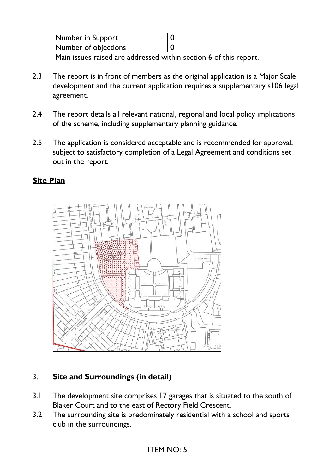| Number in Support                                                 |  |  |
|-------------------------------------------------------------------|--|--|
| Number of objections                                              |  |  |
| Main issues raised are addressed within section 6 of this report. |  |  |

- 2.3 The report is in front of members as the original application is a Major Scale development and the current application requires a supplementary s106 legal agreement.
- 2.4 The report details all relevant national, regional and local policy implications of the scheme, including supplementary planning guidance.
- 2.5 The application is considered acceptable and is recommended for approval, subject to satisfactory completion of a Legal Agreement and conditions set out in the report.

#### **Site Plan**



### 3. **Site and Surroundings (in detail)**

- 3.1 The development site comprises 17 garages that is situated to the south of Blaker Court and to the east of Rectory Field Crescent.
- 3.2 The surrounding site is predominately residential with a school and sports club in the surroundings.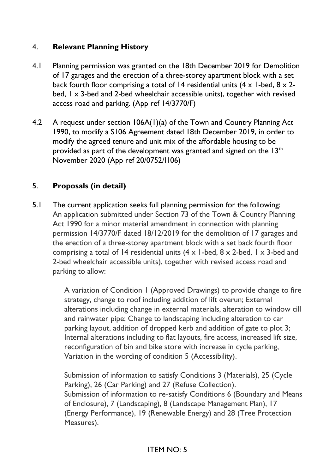### 4. **Relevant Planning History**

- 4.1 Planning permission was granted on the 18th December 2019 for Demolition of 17 garages and the erection of a three-storey apartment block with a set back fourth floor comprising a total of 14 residential units  $(4 \times 1$ -bed,  $8 \times 2$ bed, 1 x 3-bed and 2-bed wheelchair accessible units), together with revised access road and parking. (App ref 14/3770/F)
- 4.2 A request under section 106A(1)(a) of the Town and Country Planning Act 1990, to modify a S106 Agreement dated 18th December 2019, in order to modify the agreed tenure and unit mix of the affordable housing to be provided as part of the development was granted and signed on the  $13<sup>th</sup>$ November 2020 (App ref 20/0752/I106)

### 5. **Proposals (in detail)**

5.1 The current application seeks full planning permission for the following: An application submitted under Section 73 of the Town & Country Planning Act 1990 for a minor material amendment in connection with planning permission 14/3770/F dated 18/12/2019 for the demolition of 17 garages and the erection of a three-storey apartment block with a set back fourth floor comprising a total of 14 residential units  $(4 \times 1$ -bed,  $8 \times 2$ -bed,  $1 \times 3$ -bed and 2-bed wheelchair accessible units), together with revised access road and parking to allow:

> A variation of Condition 1 (Approved Drawings) to provide change to fire strategy, change to roof including addition of lift overun; External alterations including change in external materials, alteration to window cill and rainwater pipe; Change to landscaping including alteration to car parking layout, addition of dropped kerb and addition of gate to plot 3; Internal alterations including to flat layouts, fire access, increased lift size, reconfiguration of bin and bike store with increase in cycle parking, Variation in the wording of condition 5 (Accessibility).

> Submission of information to satisfy Conditions 3 (Materials), 25 (Cycle Parking), 26 (Car Parking) and 27 (Refuse Collection). Submission of information to re-satisfy Conditions 6 (Boundary and Means of Enclosure), 7 (Landscaping), 8 (Landscape Management Plan), 17 (Energy Performance), 19 (Renewable Energy) and 28 (Tree Protection Measures).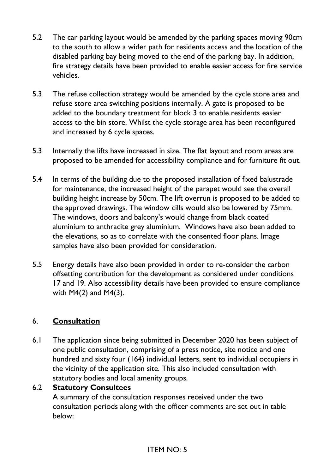- 5.2 The car parking layout would be amended by the parking spaces moving 90cm to the south to allow a wider path for residents access and the location of the disabled parking bay being moved to the end of the parking bay. In addition, fire strategy details have been provided to enable easier access for fire service vehicles.
- 5.3 The refuse collection strategy would be amended by the cycle store area and refuse store area switching positions internally. A gate is proposed to be added to the boundary treatment for block 3 to enable residents easier access to the bin store. Whilst the cycle storage area has been reconfigured and increased by 6 cycle spaces.
- 5.3 Internally the lifts have increased in size. The flat layout and room areas are proposed to be amended for accessibility compliance and for furniture fit out.
- 5.4 In terms of the building due to the proposed installation of fixed balustrade for maintenance, the increased height of the parapet would see the overall building height increase by 50cm. The lift overrun is proposed to be added to the approved drawings. The window cills would also be lowered by 75mm. The windows, doors and balcony's would change from black coated aluminium to anthracite grey aluminium. Windows have also been added to the elevations, so as to correlate with the consented floor plans. Image samples have also been provided for consideration.
- 5.5 Energy details have also been provided in order to re-consider the carbon offsetting contribution for the development as considered under conditions 17 and 19. Also accessibility details have been provided to ensure compliance with M4(2) and M4(3).

### 6. **Consultation**

6.1 The application since being submitted in December 2020 has been subject of one public consultation, comprising of a press notice, site notice and one hundred and sixty four (164) individual letters, sent to individual occupiers in the vicinity of the application site. This also included consultation with statutory bodies and local amenity groups.

### 6.2 **Statutory Consultees**

A summary of the consultation responses received under the two consultation periods along with the officer comments are set out in table below: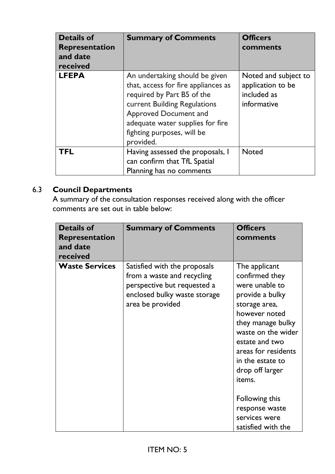| <b>Details of</b><br>Representation<br>and date<br>received | <b>Summary of Comments</b>                                                                                                                                                                                                                  | <b>Officers</b><br>comments                                             |
|-------------------------------------------------------------|---------------------------------------------------------------------------------------------------------------------------------------------------------------------------------------------------------------------------------------------|-------------------------------------------------------------------------|
| <b>LFEPA</b>                                                | An undertaking should be given<br>that, access for fire appliances as<br>required by Part B5 of the<br>current Building Regulations<br>Approved Document and<br>adequate water supplies for fire<br>fighting purposes, will be<br>provided. | Noted and subject to<br>application to be<br>included as<br>informative |
| <b>TFL</b>                                                  | Having assessed the proposals, I<br>can confirm that TfL Spatial<br>Planning has no comments                                                                                                                                                | <b>Noted</b>                                                            |

# 6.3 **Council Departments**

 A summary of the consultation responses received along with the officer comments are set out in table below:

| <b>Details of</b><br><b>Representation</b><br>and date<br>received | <b>Summary of Comments</b>                                                                                                                    | <b>Officers</b><br>comments                                                                                                                                                                                                                 |
|--------------------------------------------------------------------|-----------------------------------------------------------------------------------------------------------------------------------------------|---------------------------------------------------------------------------------------------------------------------------------------------------------------------------------------------------------------------------------------------|
| <b>Waste Services</b>                                              | Satisfied with the proposals<br>from a waste and recycling<br>perspective but requested a<br>enclosed bulky waste storage<br>area be provided | The applicant<br>confirmed they<br>were unable to<br>provide a bulky<br>storage area,<br>however noted<br>they manage bulky<br>waste on the wider<br>estate and two<br>areas for residents<br>in the estate to<br>drop off larger<br>items. |
|                                                                    |                                                                                                                                               | Following this<br>response waste<br>services were<br>satisfied with the                                                                                                                                                                     |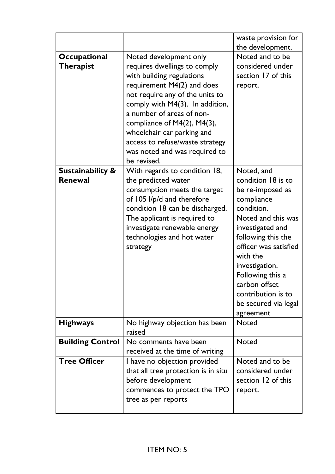|                                               |                                                                                                                                                                                                                                                                                                                                                                               | waste provision for<br>the development.                                                                                                                                                                                                                                                                 |
|-----------------------------------------------|-------------------------------------------------------------------------------------------------------------------------------------------------------------------------------------------------------------------------------------------------------------------------------------------------------------------------------------------------------------------------------|---------------------------------------------------------------------------------------------------------------------------------------------------------------------------------------------------------------------------------------------------------------------------------------------------------|
| Occupational<br><b>Therapist</b>              | Noted development only<br>requires dwellings to comply<br>with building regulations<br>requirement M4(2) and does<br>not require any of the units to<br>comply with $M4(3)$ . In addition,<br>a number of areas of non-<br>compliance of $M4(2)$ , $M4(3)$ ,<br>wheelchair car parking and<br>access to refuse/waste strategy<br>was noted and was required to<br>be revised. | Noted and to be<br>considered under<br>section 17 of this<br>report.                                                                                                                                                                                                                                    |
| <b>Sustainability &amp;</b><br><b>Renewal</b> | With regards to condition 18,<br>the predicted water<br>consumption meets the target<br>of 105 l/p/d and therefore<br>condition 18 can be discharged.<br>The applicant is required to<br>investigate renewable energy<br>technologies and hot water<br>strategy                                                                                                               | Noted, and<br>condition 18 is to<br>be re-imposed as<br>compliance<br>condition.<br>Noted and this was<br>investigated and<br>following this the<br>officer was satisfied<br>with the<br>investigation.<br>Following this a<br>carbon offset<br>contribution is to<br>be secured via legal<br>agreement |
| <b>Highways</b>                               | No highway objection has been<br>raised                                                                                                                                                                                                                                                                                                                                       | <b>Noted</b>                                                                                                                                                                                                                                                                                            |
| <b>Building Control</b>                       | No comments have been<br>received at the time of writing                                                                                                                                                                                                                                                                                                                      | <b>Noted</b>                                                                                                                                                                                                                                                                                            |
| <b>Tree Officer</b>                           | I have no objection provided<br>that all tree protection is in situ<br>before development<br>commences to protect the TPO<br>tree as per reports                                                                                                                                                                                                                              | Noted and to be<br>considered under<br>section 12 of this<br>report.                                                                                                                                                                                                                                    |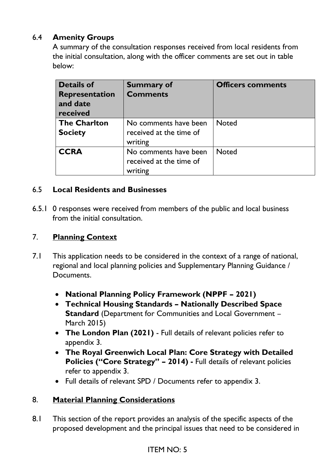### 6.4 **Amenity Groups**

A summary of the consultation responses received from local residents from the initial consultation, along with the officer comments are set out in table below:

| <b>Details of</b><br>Representation<br>and date<br>received | <b>Summary of</b><br><b>Comments</b>                        | <b>Officers comments</b> |
|-------------------------------------------------------------|-------------------------------------------------------------|--------------------------|
| <b>The Charlton</b><br><b>Society</b>                       | No comments have been<br>received at the time of<br>writing | Noted                    |
| <b>CCRA</b>                                                 | No comments have been<br>received at the time of<br>writing | <b>Noted</b>             |

#### 6.5 **Local Residents and Businesses**

6.5.1 0 responses were received from members of the public and local business from the initial consultation.

#### 7. **Planning Context**

- 7.1 This application needs to be considered in the context of a range of national, regional and local planning policies and Supplementary Planning Guidance / Documents.
	- **National Planning Policy Framework (NPPF – 2021)**
	- **Technical Housing Standards – Nationally Described Space Standard** (Department for Communities and Local Government – March 2015)
	- **The London Plan (2021)** Full details of relevant policies refer to appendix 3.
	- **The Royal Greenwich Local Plan: Core Strategy with Detailed Policies ("Core Strategy" – 2014) -** Full details of relevant policies refer to appendix 3.
	- Full details of relevant SPD / Documents refer to appendix 3.

#### 8. **Material Planning Considerations**

8.1 This section of the report provides an analysis of the specific aspects of the proposed development and the principal issues that need to be considered in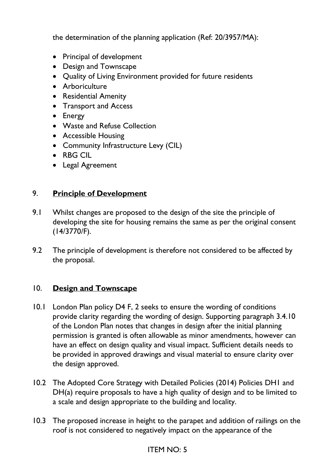the determination of the planning application (Ref: 20/3957/MA):

- Principal of development
- Design and Townscape
- Quality of Living Environment provided for future residents
- Arboriculture
- Residential Amenity
- Transport and Access
- Energy
- Waste and Refuse Collection
- Accessible Housing
- Community Infrastructure Levy (CIL)
- RBG CIL
- Legal Agreement

#### 9. **Principle of Development**

- 9.1 Whilst changes are proposed to the design of the site the principle of developing the site for housing remains the same as per the original consent (14/3770/F).
- 9.2 The principle of development is therefore not considered to be affected by the proposal.

#### 10. **Design and Townscape**

- 10.1 London Plan policy D4 F, 2 seeks to ensure the wording of conditions provide clarity regarding the wording of design. Supporting paragraph 3.4.10 of the London Plan notes that changes in design after the initial planning permission is granted is often allowable as minor amendments, however can have an effect on design quality and visual impact. Sufficient details needs to be provided in approved drawings and visual material to ensure clarity over the design approved.
- 10.2 The Adopted Core Strategy with Detailed Policies (2014) Policies DH1 and DH(a) require proposals to have a high quality of design and to be limited to a scale and design appropriate to the building and locality.
- 10.3 The proposed increase in height to the parapet and addition of railings on the roof is not considered to negatively impact on the appearance of the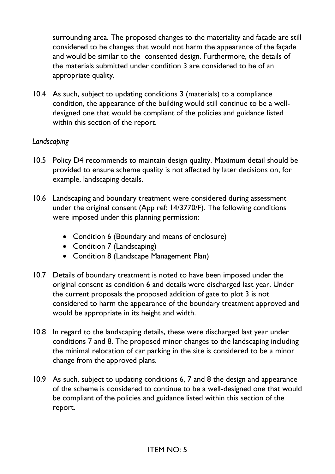surrounding area. The proposed changes to the materiality and façade are still considered to be changes that would not harm the appearance of the façade and would be similar to the consented design. Furthermore, the details of the materials submitted under condition 3 are considered to be of an appropriate quality.

10.4 As such, subject to updating conditions 3 (materials) to a compliance condition, the appearance of the building would still continue to be a welldesigned one that would be compliant of the policies and guidance listed within this section of the report.

#### *Landscaping*

- 10.5 Policy D4 recommends to maintain design quality. Maximum detail should be provided to ensure scheme quality is not affected by later decisions on, for example, landscaping details.
- 10.6 Landscaping and boundary treatment were considered during assessment under the original consent (App ref: 14/3770/F). The following conditions were imposed under this planning permission:
	- Condition 6 (Boundary and means of enclosure)
	- Condition 7 (Landscaping)
	- Condition 8 (Landscape Management Plan)
- 10.7 Details of boundary treatment is noted to have been imposed under the original consent as condition 6 and details were discharged last year. Under the current proposals the proposed addition of gate to plot 3 is not considered to harm the appearance of the boundary treatment approved and would be appropriate in its height and width.
- 10.8 In regard to the landscaping details, these were discharged last year under conditions 7 and 8. The proposed minor changes to the landscaping including the minimal relocation of car parking in the site is considered to be a minor change from the approved plans.
- 10.9 As such, subject to updating conditions 6, 7 and 8 the design and appearance of the scheme is considered to continue to be a well-designed one that would be compliant of the policies and guidance listed within this section of the report.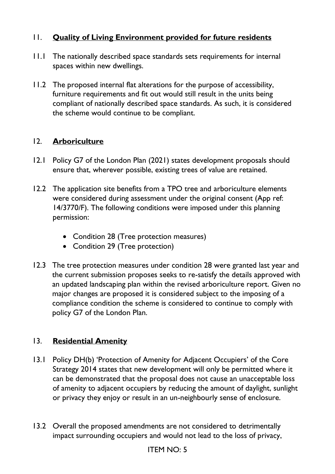### 11. **Quality of Living Environment provided for future residents**

- 11.1 The nationally described space standards sets requirements for internal spaces within new dwellings.
- 11.2 The proposed internal flat alterations for the purpose of accessibility, furniture requirements and fit out would still result in the units being compliant of nationally described space standards. As such, it is considered the scheme would continue to be compliant.

#### 12. **Arboriculture**

- 12.1 Policy G7 of the London Plan (2021) states development proposals should ensure that, wherever possible, existing trees of value are retained.
- 12.2 The application site benefits from a TPO tree and arboriculture elements were considered during assessment under the original consent (App ref: 14/3770/F). The following conditions were imposed under this planning permission:
	- Condition 28 (Tree protection measures)
	- Condition 29 (Tree protection)
- 12.3 The tree protection measures under condition 28 were granted last year and the current submission proposes seeks to re-satisfy the details approved with an updated landscaping plan within the revised arboriculture report. Given no major changes are proposed it is considered subject to the imposing of a compliance condition the scheme is considered to continue to comply with policy G7 of the London Plan.

#### 13. **Residential Amenity**

- 13.1 Policy DH(b) 'Protection of Amenity for Adjacent Occupiers' of the Core Strategy 2014 states that new development will only be permitted where it can be demonstrated that the proposal does not cause an unacceptable loss of amenity to adjacent occupiers by reducing the amount of daylight, sunlight or privacy they enjoy or result in an un-neighbourly sense of enclosure.
- 13.2 Overall the proposed amendments are not considered to detrimentally impact surrounding occupiers and would not lead to the loss of privacy,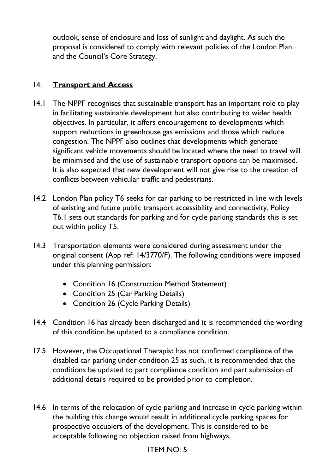outlook, sense of enclosure and loss of sunlight and daylight. As such the proposal is considered to comply with relevant policies of the London Plan and the Council's Core Strategy.

### 14. **Transport and Access**

- 14.1 The NPPF recognises that sustainable transport has an important role to play in facilitating sustainable development but also contributing to wider health objectives. In particular, it offers encouragement to developments which support reductions in greenhouse gas emissions and those which reduce congestion. The NPPF also outlines that developments which generate significant vehicle movements should be located where the need to travel will be minimised and the use of sustainable transport options can be maximised. It is also expected that new development will not give rise to the creation of conflicts between vehicular traffic and pedestrians.
- 14.2 London Plan policy T6 seeks for car parking to be restricted in line with levels of existing and future public transport accessibility and connectivity. Policy T6.1 sets out standards for parking and for cycle parking standards this is set out within policy T5.
- 14.3 Transportation elements were considered during assessment under the original consent (App ref: 14/3770/F). The following conditions were imposed under this planning permission:
	- Condition 16 (Construction Method Statement)
	- Condition 25 (Car Parking Details)
	- Condition 26 (Cycle Parking Details)
- 14.4 Condition 16 has already been discharged and it is recommended the wording of this condition be updated to a compliance condition.
- 17.5 However, the Occupational Therapist has not confirmed compliance of the disabled car parking under condition 25 as such, it is recommended that the conditions be updated to part compliance condition and part submission of additional details required to be provided prior to completion.
- 14.6 In terms of the relocation of cycle parking and increase in cycle parking within the building this change would result in additional cycle parking spaces for prospective occupiers of the development. This is considered to be acceptable following no objection raised from highways.

### ITEM NO: 5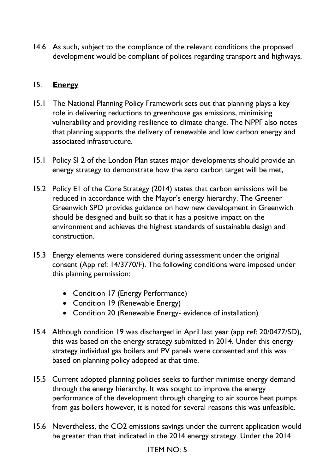14.6 As such, subject to the compliance of the relevant conditions the proposed development would be compliant of polices regarding transport and highways.

### 15. **Energy**

- 15.1 The National Planning Policy Framework sets out that planning plays a key role in delivering reductions to greenhouse gas emissions, minimising vulnerability and providing resilience to climate change. The NPPF also notes that planning supports the delivery of renewable and low carbon energy and associated infrastructure.
- 15.1 Policy SI 2 of the London Plan states major developments should provide an energy strategy to demonstrate how the zero carbon target will be met,
- 15.2 Policy E1 of the Core Strategy (2014) states that carbon emissions will be reduced in accordance with the Mayor's energy hierarchy. The Greener Greenwich SPD provides guidance on how new development in Greenwich should be designed and built so that it has a positive impact on the environment and achieves the highest standards of sustainable design and construction.
- 15.3 Energy elements were considered during assessment under the original consent (App ref: 14/3770/F). The following conditions were imposed under this planning permission:
	- Condition 17 (Energy Performance)
	- Condition 19 (Renewable Energy)
	- Condition 20 (Renewable Energy- evidence of installation)
- 15.4 Although condition 19 was discharged in April last year (app ref: 20/0477/SD), this was based on the energy strategy submitted in 2014. Under this energy strategy individual gas boilers and PV panels were consented and this was based on planning policy adopted at that time.
- 15.5 Current adopted planning policies seeks to further minimise energy demand through the energy hierarchy. It was sought to improve the energy performance of the development through changing to air source heat pumps from gas boilers however, it is noted for several reasons this was unfeasible.
- 15.6 Nevertheless, the CO2 emissions savings under the current application would be greater than that indicated in the 2014 energy strategy. Under the 2014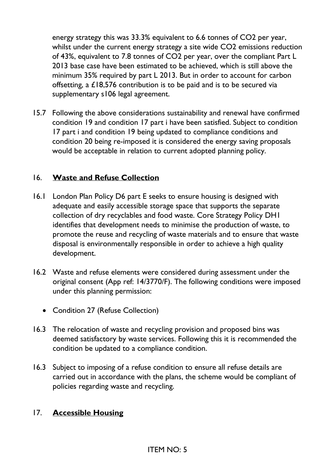energy strategy this was 33.3% equivalent to 6.6 tonnes of CO2 per year, whilst under the current energy strategy a site wide CO2 emissions reduction of 43%, equivalent to 7.8 tonnes of CO2 per year, over the compliant Part L 2013 base case have been estimated to be achieved, which is still above the minimum 35% required by part L 2013. But in order to account for carbon offsetting, a £18,576 contribution is to be paid and is to be secured via supplementary s106 legal agreement.

15.7 Following the above considerations sustainability and renewal have confirmed condition 19 and condition 17 part i have been satisfied. Subject to condition 17 part i and condition 19 being updated to compliance conditions and condition 20 being re-imposed it is considered the energy saving proposals would be acceptable in relation to current adopted planning policy.

#### 16. **Waste and Refuse Collection**

- 16.1 London Plan Policy D6 part E seeks to ensure housing is designed with adequate and easily accessible storage space that supports the separate collection of dry recyclables and food waste. Core Strategy Policy DH1 identifies that development needs to minimise the production of waste, to promote the reuse and recycling of waste materials and to ensure that waste disposal is environmentally responsible in order to achieve a high quality development.
- 16.2 Waste and refuse elements were considered during assessment under the original consent (App ref: 14/3770/F). The following conditions were imposed under this planning permission:
	- Condition 27 (Refuse Collection)
- 16.3 The relocation of waste and recycling provision and proposed bins was deemed satisfactory by waste services. Following this it is recommended the condition be updated to a compliance condition.
- 16.3 Subject to imposing of a refuse condition to ensure all refuse details are carried out in accordance with the plans, the scheme would be compliant of policies regarding waste and recycling.

#### 17. **Accessible Housing**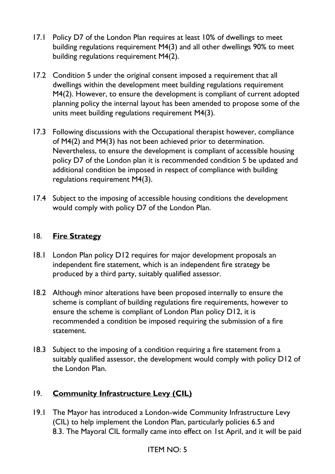- 17.1 Policy D7 of the London Plan requires at least 10% of dwellings to meet building regulations requirement M4(3) and all other dwellings 90% to meet building regulations requirement M4(2).
- 17.2 Condition 5 under the original consent imposed a requirement that all dwellings within the development meet building regulations requirement M4(2). However, to ensure the development is compliant of current adopted planning policy the internal layout has been amended to propose some of the units meet building regulations requirement M4(3).
- 17.3 Following discussions with the Occupational therapist however, compliance of M4(2) and M4(3) has not been achieved prior to determination. Nevertheless, to ensure the development is compliant of accessible housing policy D7 of the London plan it is recommended condition 5 be updated and additional condition be imposed in respect of compliance with building regulations requirement M4(3).
- 17.4 Subject to the imposing of accessible housing conditions the development would comply with policy D7 of the London Plan.

### 18. **Fire Strategy**

- 18.1 London Plan policy D12 requires for major development proposals an independent fire statement, which is an independent fire strategy be produced by a third party, suitably qualified assessor.
- 18.2 Although minor alterations have been proposed internally to ensure the scheme is compliant of building regulations fire requirements, however to ensure the scheme is compliant of London Plan policy D12, it is recommended a condition be imposed requiring the submission of a fire statement.
- 18.3 Subject to the imposing of a condition requiring a fire statement from a suitably qualified assessor, the development would comply with policy D12 of the London Plan.

## 19. **Community Infrastructure Levy (CIL)**

19.1 The Mayor has introduced a London-wide Community Infrastructure Levy (CIL) to help implement the London Plan, particularly policies 6.5 and 8.3. The Mayoral CIL formally came into effect on 1st April, and it will be paid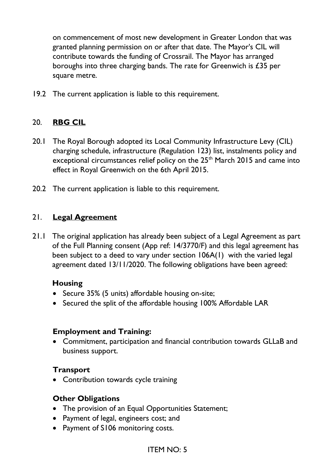on commencement of most new development in Greater London that was granted planning permission on or after that date. The Mayor's CIL will contribute towards the funding of Crossrail. The Mayor has arranged boroughs into three charging bands. The rate for Greenwich is £35 per square metre.

19.2 The current application is liable to this requirement.

#### 20. **RBG CIL**

- 20.1 The Royal Borough adopted its Local Community Infrastructure Levy (CIL) charging schedule, infrastructure (Regulation 123) list, instalments policy and exceptional circumstances relief policy on the 25<sup>th</sup> March 2015 and came into effect in Royal Greenwich on the 6th April 2015.
- 20.2 The current application is liable to this requirement.

#### 21. **Legal Agreement**

21.1 The original application has already been subject of a Legal Agreement as part of the Full Planning consent (App ref: 14/3770/F) and this legal agreement has been subject to a deed to vary under section 106A(1) with the varied legal agreement dated 13/11/2020. The following obligations have been agreed:

#### **Housing**

- Secure 35% (5 units) affordable housing on-site;
- Secured the split of the affordable housing 100% Affordable LAR

#### **Employment and Training:**

• Commitment, participation and financial contribution towards GLLaB and business support.

#### **Transport**

• Contribution towards cycle training

#### **Other Obligations**

- The provision of an Equal Opportunities Statement;
- Payment of legal, engineers cost; and
- Payment of S106 monitoring costs.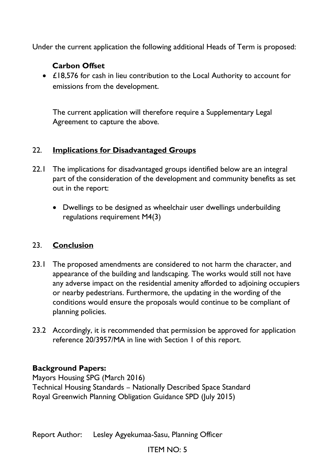Under the current application the following additional Heads of Term is proposed:

### **Carbon Offset**

• £18,576 for cash in lieu contribution to the Local Authority to account for emissions from the development.

The current application will therefore require a Supplementary Legal Agreement to capture the above.

### 22. **Implications for Disadvantaged Groups**

- 22.1 The implications for disadvantaged groups identified below are an integral part of the consideration of the development and community benefits as set out in the report:
	- Dwellings to be designed as wheelchair user dwellings underbuilding regulations requirement M4(3)

### 23. **Conclusion**

- 23.1 The proposed amendments are considered to not harm the character, and appearance of the building and landscaping. The works would still not have any adverse impact on the residential amenity afforded to adjoining occupiers or nearby pedestrians. Furthermore, the updating in the wording of the conditions would ensure the proposals would continue to be compliant of planning policies.
- 23.2 Accordingly, it is recommended that permission be approved for application reference 20/3957/MA in line with Section 1 of this report.

### **Background Papers:**

Mayors Housing SPG (March 2016) Technical Housing Standards – Nationally Described Space Standard Royal Greenwich Planning Obligation Guidance SPD (July 2015)

Report Author: Lesley Agyekumaa-Sasu, Planning Officer